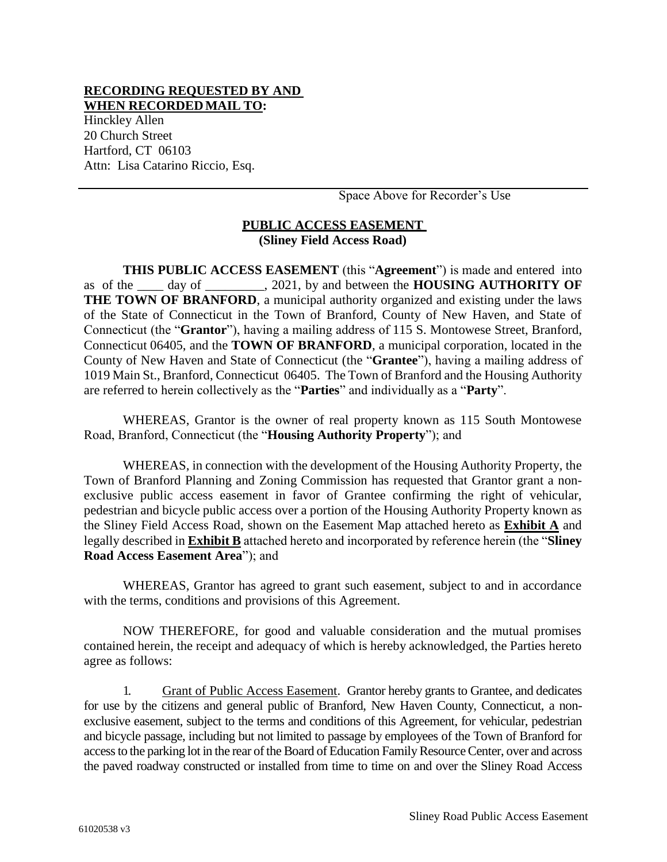## **RECORDING REQUESTED BY AND WHEN RECORDEDMAIL TO:**

Hinckley Allen 20 Church Street Hartford, CT 06103 Attn: Lisa Catarino Riccio, Esq.

Space Above for Recorder's Use

# **PUBLIC ACCESS EASEMENT (Sliney Field Access Road)**

**THIS PUBLIC ACCESS EASEMENT** (this "**Agreement**") is made and entered into as of the \_\_\_\_ day of \_\_\_\_\_\_\_\_\_, 2021, by and between the **HOUSING AUTHORITY OF THE TOWN OF BRANFORD**, a municipal authority organized and existing under the laws of the State of Connecticut in the Town of Branford, County of New Haven, and State of Connecticut (the "**Grantor**"), having a mailing address of 115 S. Montowese Street, Branford, Connecticut 06405, and the **TOWN OF BRANFORD**, a municipal corporation, located in the County of New Haven and State of Connecticut (the "**Grantee**"), having a mailing address of 1019 Main St., Branford, Connecticut 06405. The Town of Branford and the Housing Authority are referred to herein collectively as the "**Parties**" and individually as a "**Party**".

WHEREAS, Grantor is the owner of real property known as 115 South Montowese Road, Branford, Connecticut (the "**Housing Authority Property**"); and

WHEREAS, in connection with the development of the Housing Authority Property, the Town of Branford Planning and Zoning Commission has requested that Grantor grant a nonexclusive public access easement in favor of Grantee confirming the right of vehicular, pedestrian and bicycle public access over a portion of the Housing Authority Property known as the Sliney Field Access Road, shown on the Easement Map attached hereto as **Exhibit A** and legally described in **Exhibit B** attached hereto and incorporated by reference herein (the "**Sliney Road Access Easement Area**"); and

WHEREAS, Grantor has agreed to grant such easement, subject to and in accordance with the terms, conditions and provisions of this Agreement.

NOW THEREFORE, for good and valuable consideration and the mutual promises contained herein, the receipt and adequacy of which is hereby acknowledged, the Parties hereto agree as follows:

1. Grant of Public Access Easement. Grantor hereby grants to Grantee, and dedicates for use by the citizens and general public of Branford, New Haven County, Connecticut, a nonexclusive easement, subject to the terms and conditions of this Agreement, for vehicular, pedestrian and bicycle passage, including but not limited to passage by employees of the Town of Branford for access to the parking lot in the rear of the Board of Education Family Resource Center, over and across the paved roadway constructed or installed from time to time on and over the Sliney Road Access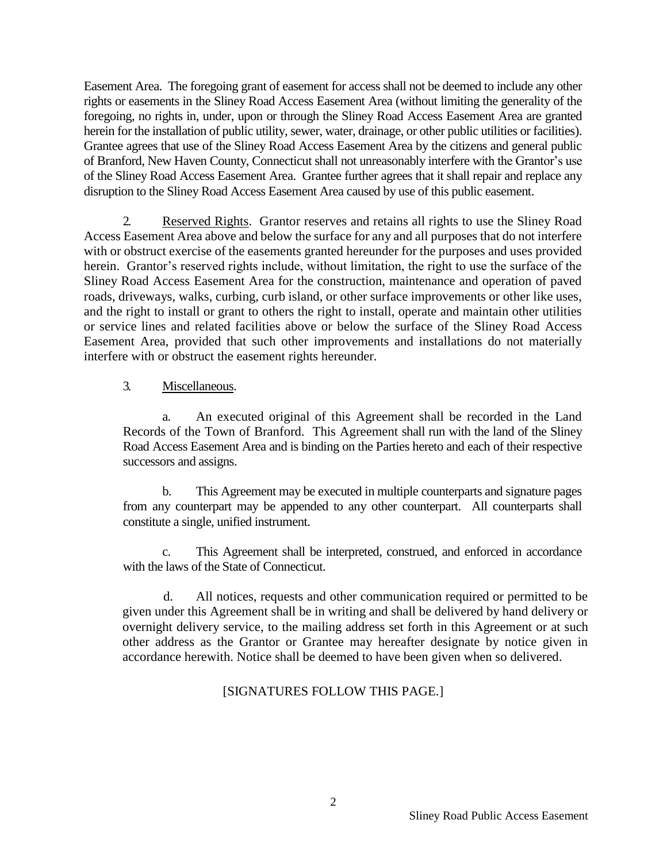Easement Area. The foregoing grant of easement for access shall not be deemed to include any other rights or easements in the Sliney Road Access Easement Area (without limiting the generality of the foregoing, no rights in, under, upon or through the Sliney Road Access Easement Area are granted herein for the installation of public utility, sewer, water, drainage, or other public utilities or facilities). Grantee agrees that use of the Sliney Road Access Easement Area by the citizens and general public of Branford, New Haven County, Connecticut shall not unreasonably interfere with the Grantor's use of the Sliney Road Access Easement Area. Grantee further agrees that it shall repair and replace any disruption to the Sliney Road Access Easement Area caused by use of this public easement.

2. Reserved Rights. Grantor reserves and retains all rights to use the Sliney Road Access Easement Area above and below the surface for any and all purposes that do not interfere with or obstruct exercise of the easements granted hereunder for the purposes and uses provided herein. Grantor's reserved rights include, without limitation, the right to use the surface of the Sliney Road Access Easement Area for the construction, maintenance and operation of paved roads, driveways, walks, curbing, curb island, or other surface improvements or other like uses, and the right to install or grant to others the right to install, operate and maintain other utilities or service lines and related facilities above or below the surface of the Sliney Road Access Easement Area, provided that such other improvements and installations do not materially interfere with or obstruct the easement rights hereunder.

# 3. Miscellaneous.

a. An executed original of this Agreement shall be recorded in the Land Records of the Town of Branford. This Agreement shall run with the land of the Sliney Road Access Easement Area and is binding on the Parties hereto and each of their respective successors and assigns.

b. This Agreement may be executed in multiple counterparts and signature pages from any counterpart may be appended to any other counterpart. All counterparts shall constitute a single, unified instrument.

c. This Agreement shall be interpreted, construed, and enforced in accordance with the laws of the State of Connecticut.

 d. All notices, requests and other communication required or permitted to be given under this Agreement shall be in writing and shall be delivered by hand delivery or overnight delivery service, to the mailing address set forth in this Agreement or at such other address as the Grantor or Grantee may hereafter designate by notice given in accordance herewith. Notice shall be deemed to have been given when so delivered.

# [SIGNATURES FOLLOW THIS PAGE.]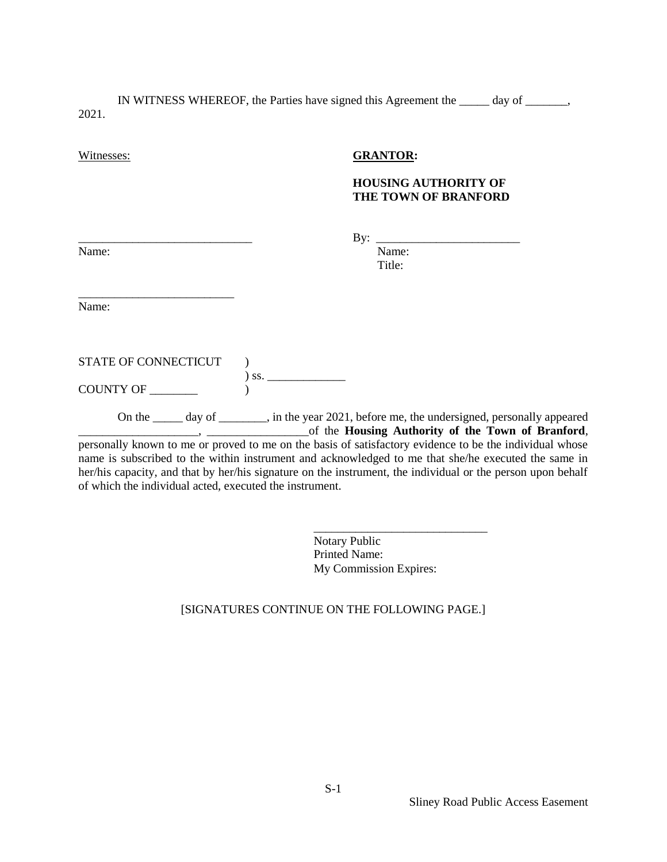IN WITNESS WHEREOF, the Parties have signed this Agreement the \_\_\_\_\_ day of \_\_\_\_\_\_\_, 2021.

#### Witnesses: **GRANTOR:**

### **HOUSING AUTHORITY OF THE TOWN OF BRANFORD**

By:  $\frac{\text{E}}{\text{E}}$ 

Title:

Name: Name:

Name:

\_\_\_\_\_\_\_\_\_\_\_\_\_\_\_\_\_\_\_\_\_\_\_\_\_\_

STATE OF CONNECTICUT  $\qquad$  ) ) ss. \_\_\_\_\_\_\_\_\_\_\_\_\_ COUNTY OF \_\_\_\_\_\_\_\_ )

On the \_\_\_\_\_ day of \_\_\_\_\_\_\_\_, in the year 2021, before me, the undersigned, personally appeared \_\_\_\_\_\_\_\_\_\_\_\_\_\_\_\_\_\_\_\_, \_\_\_\_\_\_\_\_\_\_\_\_\_\_\_\_\_of the **Housing Authority of the Town of Branford**, personally known to me or proved to me on the basis of satisfactory evidence to be the individual whose name is subscribed to the within instrument and acknowledged to me that she/he executed the same in her/his capacity, and that by her/his signature on the instrument, the individual or the person upon behalf of which the individual acted, executed the instrument.

> Notary Public Printed Name: My Commission Expires:

\_\_\_\_\_\_\_\_\_\_\_\_\_\_\_\_\_\_\_\_\_\_\_\_\_\_\_\_\_

#### [SIGNATURES CONTINUE ON THE FOLLOWING PAGE.]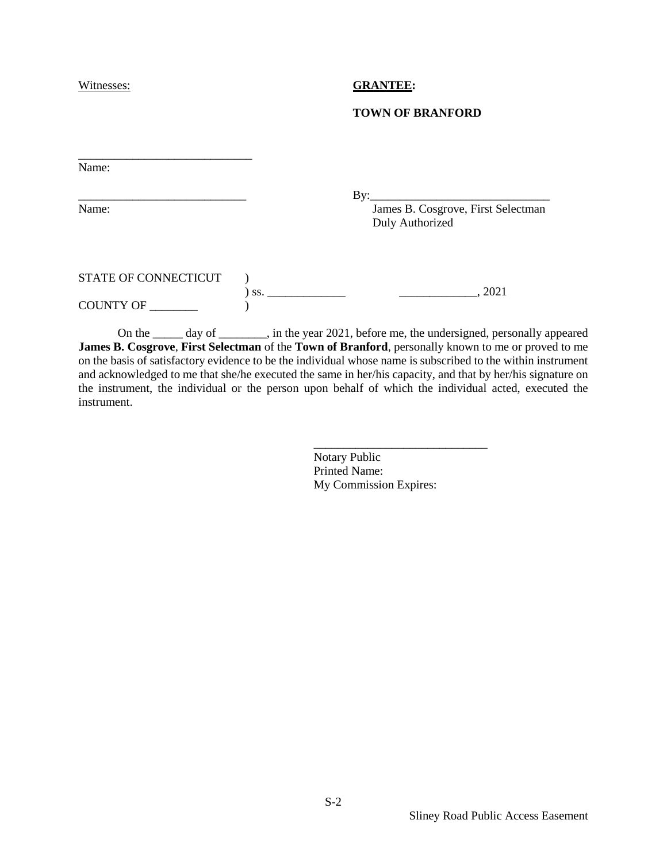#### Witnesses: **GRANTEE:**

#### **TOWN OF BRANFORD**

| Name:                |     |                                                       |
|----------------------|-----|-------------------------------------------------------|
|                      |     | By: $\qquad \qquad \qquad$                            |
| Name:                |     | James B. Cosgrove, First Selectman<br>Duly Authorized |
| STATE OF CONNECTICUT |     |                                                       |
| COUNTY OF            | SS. | , 2021                                                |

On the \_\_\_\_\_ day of \_\_\_\_\_\_\_\_, in the year 2021, before me, the undersigned, personally appeared **James B. Cosgrove**, **First Selectman** of the **Town of Branford**, personally known to me or proved to me on the basis of satisfactory evidence to be the individual whose name is subscribed to the within instrument and acknowledged to me that she/he executed the same in her/his capacity, and that by her/his signature on the instrument, the individual or the person upon behalf of which the individual acted, executed the instrument.

> Notary Public Printed Name: My Commission Expires:

\_\_\_\_\_\_\_\_\_\_\_\_\_\_\_\_\_\_\_\_\_\_\_\_\_\_\_\_\_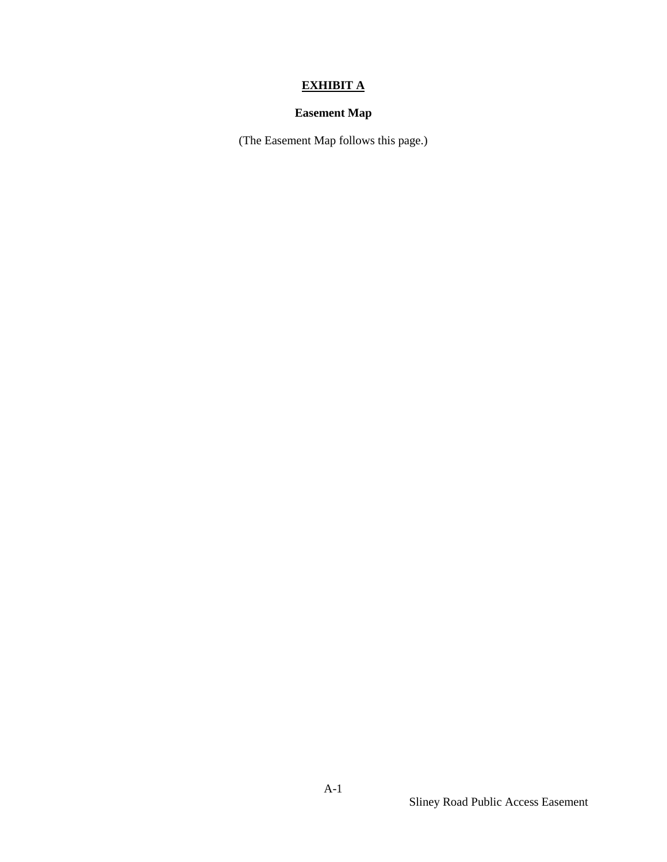# **EXHIBIT A**

# **Easement Map**

(The Easement Map follows this page.)